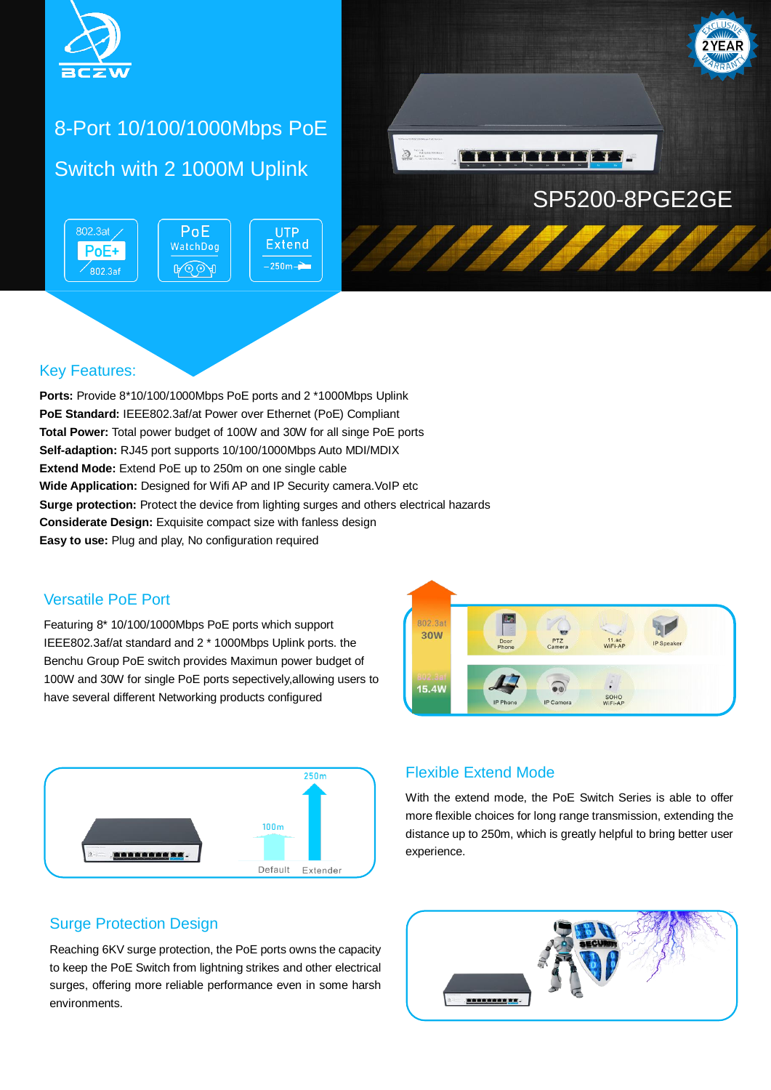

# 8-Port 10/100/1000Mbps PoE Switch with 2 1000M Uplink

802.3at / PoE **UTP Extend** WatchDog PoE+  $-250m -$ **A**OOA  $\mathsf{^{\prime}802.3af}$ 



#### Key Features:

**Ports:** Provide 8\*10/100/1000Mbps PoE ports and 2 \*1000Mbps Uplink **PoE Standard:** IEEE802.3af/at Power over Ethernet (PoE) Compliant **Total Power:** Total power budget of 100W and 30W for all singe PoE ports **Self-adaption:** RJ45 port supports 10/100/1000Mbps Auto MDI/MDIX **Extend Mode:** Extend PoE up to 250m on one single cable **Wide Application:** Designed for Wifi AP and IP Security camera. VoIP etc **Surge protection:** Protect the device from lighting surges and others electrical hazards **Considerate Design:** Exquisite compact size with fanless design **Easy to use:** Plug and play, No configuration required

#### Versatile PoE Port

Featuring 8\* 10/100/1000Mbps PoE ports which support IEEE802.3af/at standard and 2 \* 1000Mbps Uplink ports. the Benchu Group PoE switch provides Maximun power budget of 100W and 30W for single PoE ports sepectively,allowing users to have several different Networking products configured





#### Flexible Extend Mode

With the extend mode, the PoE Switch Series is able to offer more flexible choices for long range transmission, extending the distance up to 250m, which is greatly helpful to bring better user experience.

#### Surge Protection Design

Reaching 6KV surge protection, the PoE ports owns the capacity to keep the PoE Switch from lightning strikes and other electrical surges, offering more reliable performance even in some harsh environments.

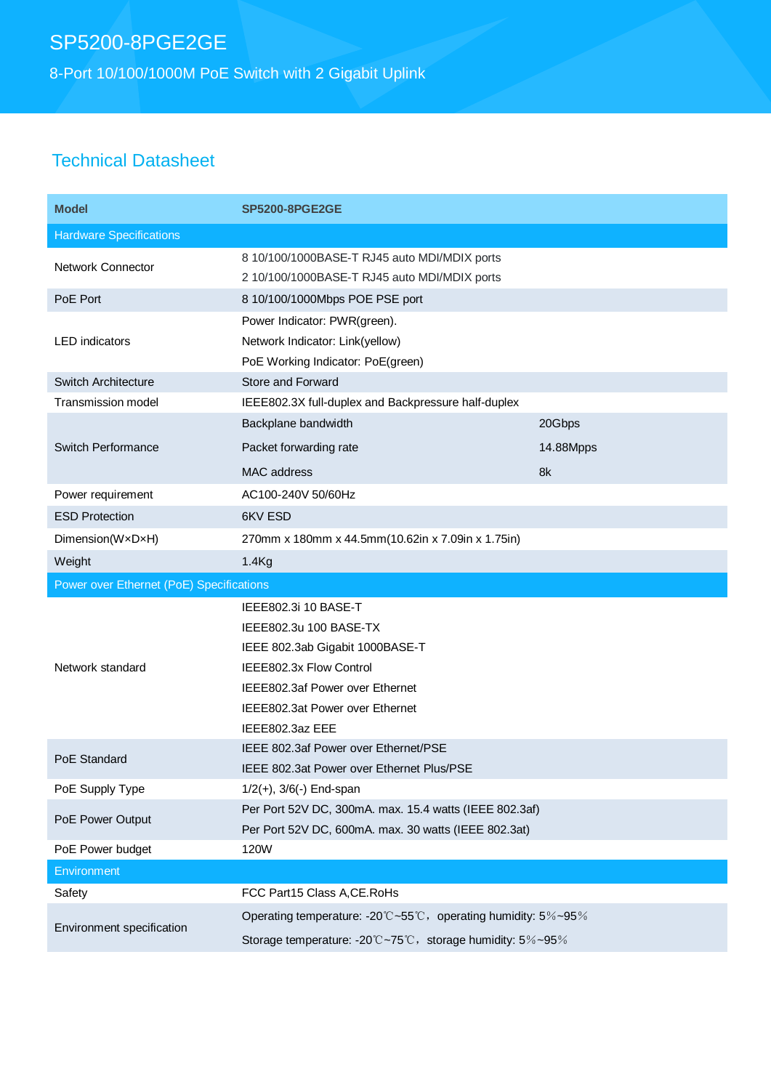# SP5200-8PGE2GE

8-Port 10/100/1000M PoE Switch with 2 Gigabit Uplink

### Technical Datasheet

| <b>Model</b>                             | <b>SP5200-8PGE2GE</b>                                                                                                                                                                                 |           |
|------------------------------------------|-------------------------------------------------------------------------------------------------------------------------------------------------------------------------------------------------------|-----------|
| <b>Hardware Specifications</b>           |                                                                                                                                                                                                       |           |
| Network Connector                        | 8 10/100/1000BASE-T RJ45 auto MDI/MDIX ports<br>2 10/100/1000BASE-T RJ45 auto MDI/MDIX ports                                                                                                          |           |
| PoE Port                                 | 8 10/100/1000Mbps POE PSE port                                                                                                                                                                        |           |
| <b>LED</b> indicators                    | Power Indicator: PWR(green).<br>Network Indicator: Link(yellow)<br>PoE Working Indicator: PoE(green)                                                                                                  |           |
| Switch Architecture                      | Store and Forward                                                                                                                                                                                     |           |
| <b>Transmission model</b>                | IEEE802.3X full-duplex and Backpressure half-duplex                                                                                                                                                   |           |
|                                          | Backplane bandwidth                                                                                                                                                                                   | 20Gbps    |
| Switch Performance                       | Packet forwarding rate                                                                                                                                                                                | 14.88Mpps |
|                                          | MAC address                                                                                                                                                                                           | 8k        |
| Power requirement                        | AC100-240V 50/60Hz                                                                                                                                                                                    |           |
| <b>ESD Protection</b>                    | 6KV ESD                                                                                                                                                                                               |           |
| Dimension(WxDxH)                         | 270mm x 180mm x 44.5mm(10.62in x 7.09in x 1.75in)                                                                                                                                                     |           |
| Weight                                   | 1.4 <sub>Kg</sub>                                                                                                                                                                                     |           |
| Power over Ethernet (PoE) Specifications |                                                                                                                                                                                                       |           |
|                                          |                                                                                                                                                                                                       |           |
| Network standard                         | IEEE802.3i 10 BASE-T<br>IEEE802.3u 100 BASE-TX<br>IEEE 802.3ab Gigabit 1000BASE-T<br>IEEE802.3x Flow Control<br>IEEE802.3af Power over Ethernet<br>IEEE802.3at Power over Ethernet<br>IEEE802.3az EEE |           |
| PoE Standard                             | IEEE 802.3af Power over Ethernet/PSE<br>IEEE 802.3at Power over Ethernet Plus/PSE                                                                                                                     |           |
| PoE Supply Type                          | $1/2(+)$ , $3/6(-)$ End-span                                                                                                                                                                          |           |
| PoE Power Output                         | Per Port 52V DC, 300mA. max. 15.4 watts (IEEE 802.3af)<br>Per Port 52V DC, 600mA. max. 30 watts (IEEE 802.3at)                                                                                        |           |
| PoE Power budget                         | 120W                                                                                                                                                                                                  |           |
| <b>Environment</b>                       |                                                                                                                                                                                                       |           |
| Safety                                   | FCC Part15 Class A, CE. RoHs                                                                                                                                                                          |           |
| Environment specification                | Operating temperature: -20°C~55°C, operating humidity: 5%~95%                                                                                                                                         |           |